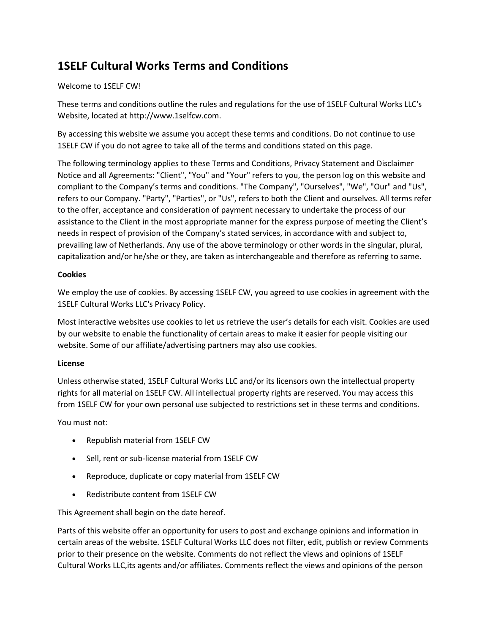# **1SELF Cultural Works Terms and Conditions**

# Welcome to 1SELF CW!

These terms and conditions outline the rules and regulations for the use of 1SELF Cultural Works LLC's Website, located at http://www.1selfcw.com.

By accessing this website we assume you accept these terms and conditions. Do not continue to use 1SELF CW if you do not agree to take all of the terms and conditions stated on this page.

The following terminology applies to these Terms and Conditions, Privacy Statement and Disclaimer Notice and all Agreements: "Client", "You" and "Your" refers to you, the person log on this website and compliant to the Company's terms and conditions. "The Company", "Ourselves", "We", "Our" and "Us", refers to our Company. "Party", "Parties", or "Us", refers to both the Client and ourselves. All terms refer to the offer, acceptance and consideration of payment necessary to undertake the process of our assistance to the Client in the most appropriate manner for the express purpose of meeting the Client's needs in respect of provision of the Company's stated services, in accordance with and subject to, prevailing law of Netherlands. Any use of the above terminology or other words in the singular, plural, capitalization and/or he/she or they, are taken as interchangeable and therefore as referring to same.

# **Cookies**

We employ the use of cookies. By accessing 1SELF CW, you agreed to use cookies in agreement with the 1SELF Cultural Works LLC's Privacy Policy.

Most interactive websites use cookies to let us retrieve the user's details for each visit. Cookies are used by our website to enable the functionality of certain areas to make it easier for people visiting our website. Some of our affiliate/advertising partners may also use cookies.

# **License**

Unless otherwise stated, 1SELF Cultural Works LLC and/or its licensors own the intellectual property rights for all material on 1SELF CW. All intellectual property rights are reserved. You may access this from 1SELF CW for your own personal use subjected to restrictions set in these terms and conditions.

You must not:

- Republish material from 1SELF CW
- Sell, rent or sub-license material from 1SELF CW
- Reproduce, duplicate or copy material from 1SELF CW
- Redistribute content from 1SELF CW

This Agreement shall begin on the date hereof.

Parts of this website offer an opportunity for users to post and exchange opinions and information in certain areas of the website. 1SELF Cultural Works LLC does not filter, edit, publish or review Comments prior to their presence on the website. Comments do not reflect the views and opinions of 1SELF Cultural Works LLC,its agents and/or affiliates. Comments reflect the views and opinions of the person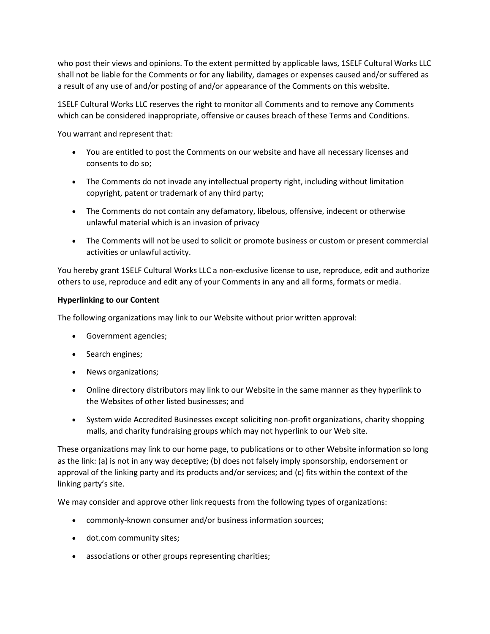who post their views and opinions. To the extent permitted by applicable laws, 1SELF Cultural Works LLC shall not be liable for the Comments or for any liability, damages or expenses caused and/or suffered as a result of any use of and/or posting of and/or appearance of the Comments on this website.

1SELF Cultural Works LLC reserves the right to monitor all Comments and to remove any Comments which can be considered inappropriate, offensive or causes breach of these Terms and Conditions.

You warrant and represent that:

- You are entitled to post the Comments on our website and have all necessary licenses and consents to do so;
- The Comments do not invade any intellectual property right, including without limitation copyright, patent or trademark of any third party;
- The Comments do not contain any defamatory, libelous, offensive, indecent or otherwise unlawful material which is an invasion of privacy
- The Comments will not be used to solicit or promote business or custom or present commercial activities or unlawful activity.

You hereby grant 1SELF Cultural Works LLC a non-exclusive license to use, reproduce, edit and authorize others to use, reproduce and edit any of your Comments in any and all forms, formats or media.

# **Hyperlinking to our Content**

The following organizations may link to our Website without prior written approval:

- Government agencies;
- Search engines;
- News organizations;
- Online directory distributors may link to our Website in the same manner as they hyperlink to the Websites of other listed businesses; and
- System wide Accredited Businesses except soliciting non-profit organizations, charity shopping malls, and charity fundraising groups which may not hyperlink to our Web site.

These organizations may link to our home page, to publications or to other Website information so long as the link: (a) is not in any way deceptive; (b) does not falsely imply sponsorship, endorsement or approval of the linking party and its products and/or services; and (c) fits within the context of the linking party's site.

We may consider and approve other link requests from the following types of organizations:

- commonly-known consumer and/or business information sources;
- dot.com community sites;
- associations or other groups representing charities;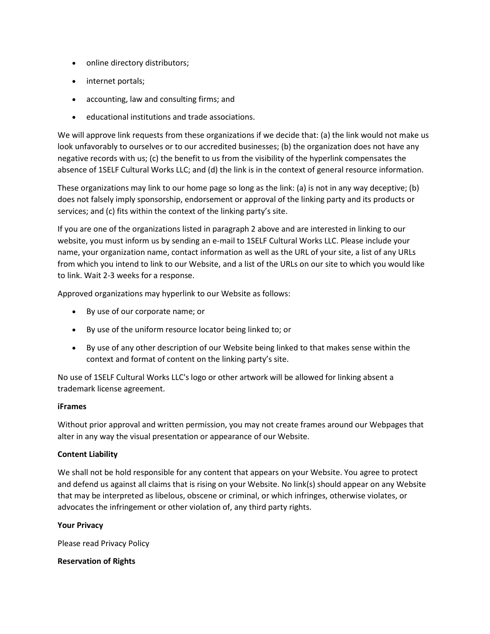- online directory distributors;
- internet portals;
- accounting, law and consulting firms; and
- educational institutions and trade associations.

We will approve link requests from these organizations if we decide that: (a) the link would not make us look unfavorably to ourselves or to our accredited businesses; (b) the organization does not have any negative records with us; (c) the benefit to us from the visibility of the hyperlink compensates the absence of 1SELF Cultural Works LLC; and (d) the link is in the context of general resource information.

These organizations may link to our home page so long as the link: (a) is not in any way deceptive; (b) does not falsely imply sponsorship, endorsement or approval of the linking party and its products or services; and (c) fits within the context of the linking party's site.

If you are one of the organizations listed in paragraph 2 above and are interested in linking to our website, you must inform us by sending an e-mail to 1SELF Cultural Works LLC. Please include your name, your organization name, contact information as well as the URL of your site, a list of any URLs from which you intend to link to our Website, and a list of the URLs on our site to which you would like to link. Wait 2-3 weeks for a response.

Approved organizations may hyperlink to our Website as follows:

- By use of our corporate name; or
- By use of the uniform resource locator being linked to; or
- By use of any other description of our Website being linked to that makes sense within the context and format of content on the linking party's site.

No use of 1SELF Cultural Works LLC's logo or other artwork will be allowed for linking absent a trademark license agreement.

#### **iFrames**

Without prior approval and written permission, you may not create frames around our Webpages that alter in any way the visual presentation or appearance of our Website.

#### **Content Liability**

We shall not be hold responsible for any content that appears on your Website. You agree to protect and defend us against all claims that is rising on your Website. No link(s) should appear on any Website that may be interpreted as libelous, obscene or criminal, or which infringes, otherwise violates, or advocates the infringement or other violation of, any third party rights.

#### **Your Privacy**

Please read Privacy Policy

#### **Reservation of Rights**